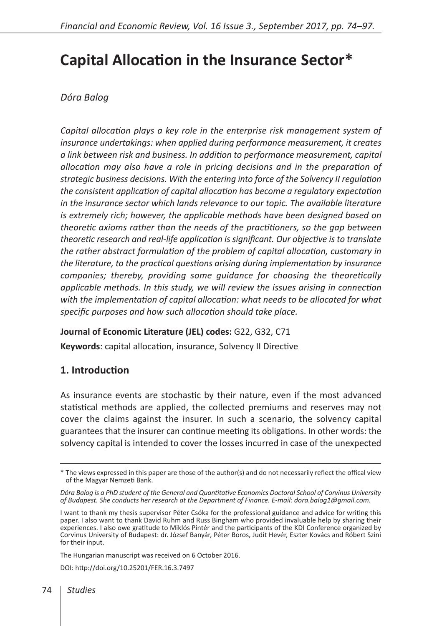# **Capital Allocation in the Insurance Sector\***

# *Dóra Balog*

*Capital allocation plays a key role in the enterprise risk management system of insurance undertakings: when applied during performance measurement, it creates a link between risk and business. In addition to performance measurement, capital allocation may also have a role in pricing decisions and in the preparation of strategic business decisions. With the entering into force of the Solvency II regulation the consistent application of capital allocation has become a regulatory expectation in the insurance sector which lands relevance to our topic. The available literature is extremely rich; however, the applicable methods have been designed based on theoretic axioms rather than the needs of the practitioners, so the gap between theoretic research and real-life application is significant. Our objective is to translate the rather abstract formulation of the problem of capital allocation, customary in the literature, to the practical questions arising during implementation by insurance companies; thereby, providing some guidance for choosing the theoretically applicable methods. In this study, we will review the issues arising in connection with the implementation of capital allocation: what needs to be allocated for what specific purposes and how such allocation should take place.* 

## **Journal of Economic Literature (JEL) codes:** G22, G32, C71

**Keywords**: capital allocation, insurance, Solvency II Directive

## **1. Introduction**

As insurance events are stochastic by their nature, even if the most advanced statistical methods are applied, the collected premiums and reserves may not cover the claims against the insurer. In such a scenario, the solvency capital guarantees that the insurer can continue meeting its obligations. In other words: the solvency capital is intended to cover the losses incurred in case of the unexpected

The Hungarian manuscript was received on 6 October 2016.

DOI:<http://doi.org/10.25201/FER.16.3.7497>

<sup>\*</sup> The views expressed in this paper are those of the author(s) and do not necessarily reflect the offical view of the Magyar Nemzeti Bank.

*Dóra Balog is a PhD student of the General and Quantitative Economics Doctoral School of Corvinus University of Budapest. She conducts her research at the Department of Finance. E-mail: dora.balog1@gmail.com.*

I want to thank my thesis supervisor Péter Csóka for the professional guidance and advice for writing this paper. I also want to thank David Ruhm and Russ Bingham who provided invaluable help by sharing their experiences. I also owe gratitude to Miklós Pintér and the participants of the KDI Conference organized by Corvinus University of Budapest: dr. József Banyár, Péter Boros, Judit Hevér, Eszter Kovács and Róbert Szini for their input.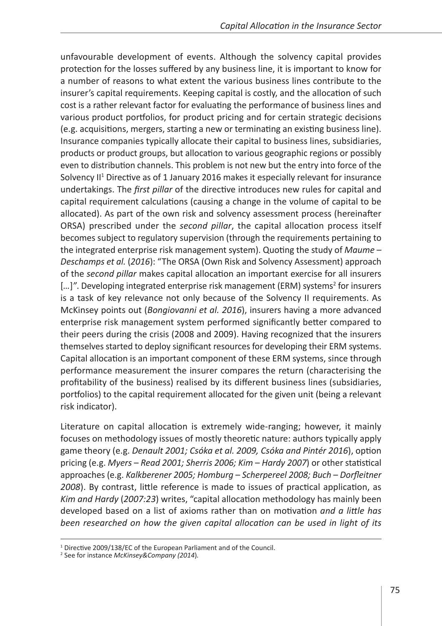unfavourable development of events. Although the solvency capital provides protection for the losses suffered by any business line, it is important to know for a number of reasons to what extent the various business lines contribute to the insurer's capital requirements. Keeping capital is costly, and the allocation of such cost is a rather relevant factor for evaluating the performance of business lines and various product portfolios, for product pricing and for certain strategic decisions (e.g. acquisitions, mergers, starting a new or terminating an existing business line). Insurance companies typically allocate their capital to business lines, subsidiaries, products or product groups, but allocation to various geographic regions or possibly even to distribution channels. This problem is not new but the entry into force of the Solvency II<sup>1</sup> Directive as of 1 January 2016 makes it especially relevant for insurance undertakings. The *first pillar* of the directive introduces new rules for capital and capital requirement calculations (causing a change in the volume of capital to be allocated). As part of the own risk and solvency assessment process (hereinafter ORSA) prescribed under the *second pillar*, the capital allocation process itself becomes subject to regulatory supervision (through the requirements pertaining to the integrated enterprise risk management system). Quoting the study of *Maume – Deschamps et al.* (*2016*): "The ORSA (Own Risk and Solvency Assessment) approach of the *second pillar* makes capital allocation an important exercise for all insurers [...]". Developing integrated enterprise risk management (ERM) systems<sup>2</sup> for insurers is a task of key relevance not only because of the Solvency II requirements. As McKinsey points out (*Bongiovanni et al. 2016*), insurers having a more advanced enterprise risk management system performed significantly better compared to their peers during the crisis (2008 and 2009). Having recognized that the insurers themselves started to deploy significant resources for developing their ERM systems. Capital allocation is an important component of these ERM systems, since through performance measurement the insurer compares the return (characterising the profitability of the business) realised by its different business lines (subsidiaries, portfolios) to the capital requirement allocated for the given unit (being a relevant risk indicator).

Literature on capital allocation is extremely wide-ranging; however, it mainly focuses on methodology issues of mostly theoretic nature: authors typically apply game theory (e.g. *Denault 2001; Csóka et al. 2009, Csóka and Pintér 2016*), option pricing (e.g. *Myers* – *Read 2001; Sherris 2006; Kim* – *Hardy 2007*) or other statistical approaches (e.g. *Kalkberener 2005; Homburg* – *Scherpereel 2008; Buch* – *Dorfleitner 2008*). By contrast, little reference is made to issues of practical application, as *Kim and Hardy* (*2007:23*) writes, "capital allocation methodology has mainly been developed based on a list of axioms rather than on motivation *and a little has been researched on how the given capital allocation can be used in light of its* 

<sup>&</sup>lt;sup>1</sup> Directive 2009/138/EC of the European Parliament and of the Council.

<sup>2</sup> See for instance *McKinsey&Company (2014*)*.*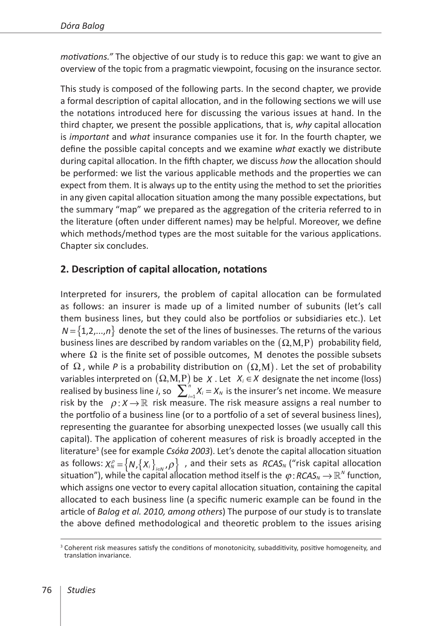*motivations."* The objective of our study is to reduce this gap: we want to give an overview of the topic from a pragmatic viewpoint, focusing on the insurance sector.

This study is composed of the following parts. In the second chapter, we provide a formal description of capital allocation, and in the following sections we will use the notations introduced here for discussing the various issues at hand. In the third chapter, we present the possible applications, that is, *why* capital allocation is *important* and *what* insurance companies use it for. In the fourth chapter, we define the possible capital concepts and we examine *what* exactly we distribute during capital allocation. In the fifth chapter, we discuss *how* the allocation should be performed: we list the various applicable methods and the properties we can expect from them. It is always up to the entity using the method to set the priorities in any given capital allocation situation among the many possible expectations, but the summary "map" we prepared as the aggregation of the criteria referred to in the literature (often under different names) may be helpful. Moreover, we define which methods/method types are the most suitable for the various applications. Chapter six concludes.

## **2. Description of capital allocation, notations**

Interpreted for insurers, the problem of capital allocation can be formulated as follows: an insurer is made up of a limited number of subunits (let's call them business lines, but they could also be portfolios or subsidiaries etc.). Let  $N = \{1, 2, ..., n\}$  denote the set of the lines of businesses. The returns of the various business lines are described by random variables on the  $(\Omega, M, P)$  probability field, where  $\Omega$  is the finite set of possible outcomes, M denotes the possible subsets of  $\Omega$ , while *P* is a probability distribution on  $(\Omega, M)$ . Let the set of probability variables interpreted on (Ω,Μ,Ρ) be *X* . Let *Xi* ∈*X* designate the net income (loss) realised by business line *i*, so  $\sum_{i=1}^{n} X_i = X_N$  is the insurer's net income. We measure risk by the  $\rho: X \to \mathbb{R}$  risk measure. The risk measure assigns a real number to the portfolio of a business line (or to a portfolio of a set of several business lines), representing the guarantee for absorbing unexpected losses (we usually call this capital). The application of coherent measures of risk is broadly accepted in the literature<sup>3</sup> (see for example *Csóka 2003*). Let's denote the capital allocation situation as follows:  $X_N^{\rho} = \left\{ N, \left\{ X_i \right\}_{i \in N}, \rho \right\}$ , and their sets as *RCAS<sub>N</sub>* ("risk capital allocation situation"), while the capital allocation method itself is the  $\varphi$ : *RCAS*<sub>N</sub>  $\rightarrow$   $\mathbb{R}^N$  function, which assigns one vector to every capital allocation situation, containing the capital allocated to each business line (a specific numeric example can be found in the article of *Balog et al. 2010, among others*) The purpose of our study is to translate the above defined methodological and theoretic problem to the issues arising

<sup>&</sup>lt;sup>3</sup> Coherent risk measures satisfy the conditions of monotonicity, subadditivity, positive homogeneity, and translation invariance.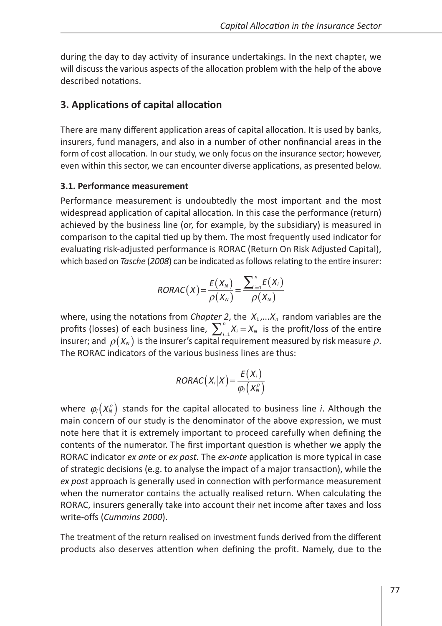during the day to day activity of insurance undertakings. In the next chapter, we will discuss the various aspects of the allocation problem with the help of the above described notations.

## **3. Applications of capital allocation**

There are many different application areas of capital allocation. It is used by banks, insurers, fund managers, and also in a number of other nonfinancial areas in the form of cost allocation. In our study, we only focus on the insurance sector; however, even within this sector, we can encounter diverse applications, as presented below.

#### **3.1. Performance measurement**

Performance measurement is undoubtedly the most important and the most widespread application of capital allocation. In this case the performance (return) achieved by the business line (or, for example, by the subsidiary) is measured in comparison to the capital tied up by them. The most frequently used indicator for evaluating risk-adjusted performance is RORAC (Return On Risk Adjusted Capital), which based on *Tasche* (*2008*) can be indicated as follows relating to the entire insurer:

$$
RORAC(X) = \frac{E(X_N)}{\rho(X_N)} = \frac{\sum_{i=1}^{n} E(X_i)}{\rho(X_N)}
$$

where, using the notations from *Chapter 2*, the  $X_1,...X_n$  random variables are the profits (losses) of each business line,  $\sum_{i=1}^{n} X_i = X_N$  is the profit/loss of the entire insurer; and  $\rho(X_N)$  is the insurer's capital requirement measured by risk measure  $\rho$ . The RORAC indicators of the various business lines are thus:

$$
RORAC(X_i|X) = \frac{E(X_i)}{\varphi_i(X_N^{\rho})}
$$

where  $\varphi_i(X_N^{\rho})$  stands for the capital allocated to business line *i*. Although the main concern of our study is the denominator of the above expression, we must note here that it is extremely important to proceed carefully when defining the contents of the numerator. The first important question is whether we apply the RORAC indicator *ex ante* or *ex post.* The *ex-ante* application is more typical in case of strategic decisions (e.g. to analyse the impact of a major transaction), while the *ex post* approach is generally used in connection with performance measurement when the numerator contains the actually realised return. When calculating the RORAC, insurers generally take into account their net income after taxes and loss write-offs (*Cummins 2000*).

The treatment of the return realised on investment funds derived from the different products also deserves attention when defining the profit. Namely, due to the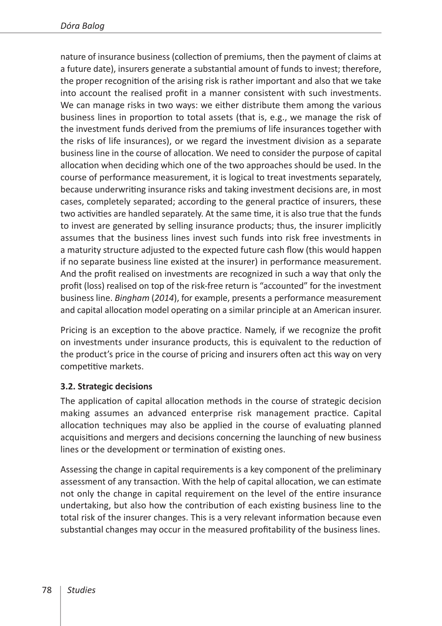nature of insurance business (collection of premiums, then the payment of claims at a future date), insurers generate a substantial amount of funds to invest; therefore, the proper recognition of the arising risk is rather important and also that we take into account the realised profit in a manner consistent with such investments. We can manage risks in two ways: we either distribute them among the various business lines in proportion to total assets (that is, e.g., we manage the risk of the investment funds derived from the premiums of life insurances together with the risks of life insurances), or we regard the investment division as a separate business line in the course of allocation. We need to consider the purpose of capital allocation when deciding which one of the two approaches should be used. In the course of performance measurement, it is logical to treat investments separately, because underwriting insurance risks and taking investment decisions are, in most cases, completely separated; according to the general practice of insurers, these two activities are handled separately. At the same time, it is also true that the funds to invest are generated by selling insurance products; thus, the insurer implicitly assumes that the business lines invest such funds into risk free investments in a maturity structure adjusted to the expected future cash flow (this would happen if no separate business line existed at the insurer) in performance measurement. And the profit realised on investments are recognized in such a way that only the profit (loss) realised on top of the risk-free return is "accounted" for the investment business line. *Bingham* (*2014*), for example, presents a performance measurement and capital allocation model operating on a similar principle at an American insurer.

Pricing is an exception to the above practice. Namely, if we recognize the profit on investments under insurance products, this is equivalent to the reduction of the product's price in the course of pricing and insurers often act this way on very competitive markets.

## **3.2. Strategic decisions**

The application of capital allocation methods in the course of strategic decision making assumes an advanced enterprise risk management practice. Capital allocation techniques may also be applied in the course of evaluating planned acquisitions and mergers and decisions concerning the launching of new business lines or the development or termination of existing ones.

Assessing the change in capital requirements is a key component of the preliminary assessment of any transaction. With the help of capital allocation, we can estimate not only the change in capital requirement on the level of the entire insurance undertaking, but also how the contribution of each existing business line to the total risk of the insurer changes. This is a very relevant information because even substantial changes may occur in the measured profitability of the business lines.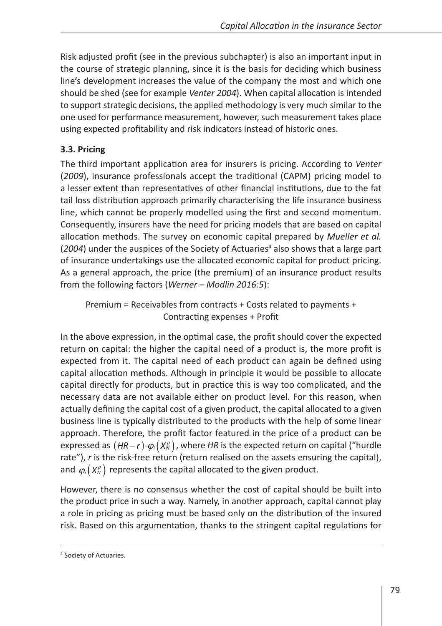Risk adjusted profit (see in the previous subchapter) is also an important input in the course of strategic planning, since it is the basis for deciding which business line's development increases the value of the company the most and which one should be shed (see for example *Venter 2004*). When capital allocation is intended to support strategic decisions, the applied methodology is very much similar to the one used for performance measurement, however, such measurement takes place using expected profitability and risk indicators instead of historic ones.

#### **3.3. Pricing**

The third important application area for insurers is pricing. According to *Venter*  (*2009*), insurance professionals accept the traditional (CAPM) pricing model to a lesser extent than representatives of other financial institutions, due to the fat tail loss distribution approach primarily characterising the life insurance business line, which cannot be properly modelled using the first and second momentum. Consequently, insurers have the need for pricing models that are based on capital allocation methods. The survey on economic capital prepared by *Mueller et al.*  (2004) under the auspices of the Society of Actuaries<sup>4</sup> also shows that a large part of insurance undertakings use the allocated economic capital for product pricing. As a general approach, the price (the premium) of an insurance product results from the following factors (*Werner* – *Modlin 2016:5*):

Premium = Receivables from contracts + Costs related to payments + Contracting expenses + Profit

In the above expression, in the optimal case, the profit should cover the expected return on capital: the higher the capital need of a product is, the more profit is expected from it. The capital need of each product can again be defined using capital allocation methods. Although in principle it would be possible to allocate capital directly for products, but in practice this is way too complicated, and the necessary data are not available either on product level. For this reason, when actually defining the capital cost of a given product, the capital allocated to a given business line is typically distributed to the products with the help of some linear approach. Therefore, the profit factor featured in the price of a product can be expressed as  $(HR - r) \cdot \varphi_i(X_N^{\rho})$ , where *HR* is the expected return on capital ("hurdle rate"), *r* is the risk-free return (return realised on the assets ensuring the capital), and  $\varphi_i(X_N^{\rho})$  represents the capital allocated to the given product.

However, there is no consensus whether the cost of capital should be built into the product price in such a way. Namely, in another approach, capital cannot play a role in pricing as pricing must be based only on the distribution of the insured risk. Based on this argumentation, thanks to the stringent capital regulations for

<sup>4</sup> Society of Actuaries.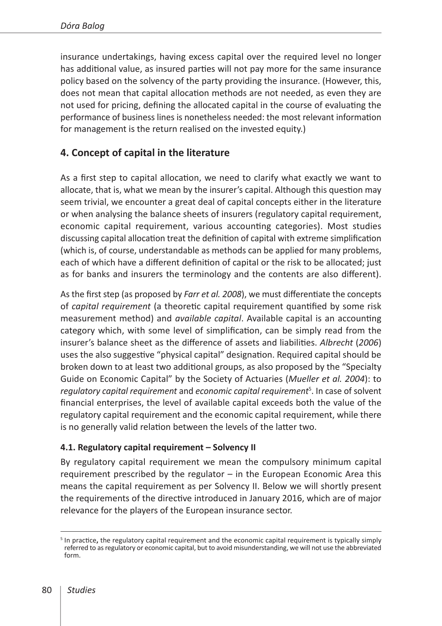insurance undertakings, having excess capital over the required level no longer has additional value, as insured parties will not pay more for the same insurance policy based on the solvency of the party providing the insurance. (However, this, does not mean that capital allocation methods are not needed, as even they are not used for pricing, defining the allocated capital in the course of evaluating the performance of business lines is nonetheless needed: the most relevant information for management is the return realised on the invested equity.)

# **4. Concept of capital in the literature**

As a first step to capital allocation, we need to clarify what exactly we want to allocate, that is, what we mean by the insurer's capital. Although this question may seem trivial, we encounter a great deal of capital concepts either in the literature or when analysing the balance sheets of insurers (regulatory capital requirement, economic capital requirement, various accounting categories). Most studies discussing capital allocation treat the definition of capital with extreme simplification (which is, of course, understandable as methods can be applied for many problems, each of which have a different definition of capital or the risk to be allocated; just as for banks and insurers the terminology and the contents are also different).

As the first step (as proposed by *Farr et al. 2008*), we must differentiate the concepts of *capital requirement* (a theoretic capital requirement quantified by some risk measurement method) and *available capital*. Available capital is an accounting category which, with some level of simplification, can be simply read from the insurer's balance sheet as the difference of assets and liabilities. *Albrecht* (*2006*) uses the also suggestive "physical capital" designation. Required capital should be broken down to at least two additional groups, as also proposed by the "Specialty Guide on Economic Capital" by the Society of Actuaries (*Mueller et al. 2004*): to *regulatory capital requirement* and *economic capital requirement*<sup>5</sup> . In case of solvent financial enterprises, the level of available capital exceeds both the value of the regulatory capital requirement and the economic capital requirement, while there is no generally valid relation between the levels of the latter two.

## **4.1. Regulatory capital requirement – Solvency II**

By regulatory capital requirement we mean the compulsory minimum capital requirement prescribed by the regulator – in the European Economic Area this means the capital requirement as per Solvency II. Below we will shortly present the requirements of the directive introduced in January 2016, which are of major relevance for the players of the European insurance sector.

<sup>&</sup>lt;sup>5</sup> In practice, the regulatory capital requirement and the economic capital requirement is typically simply referred to as regulatory or economic capital, but to avoid misunderstanding, we will not use the abbreviated form.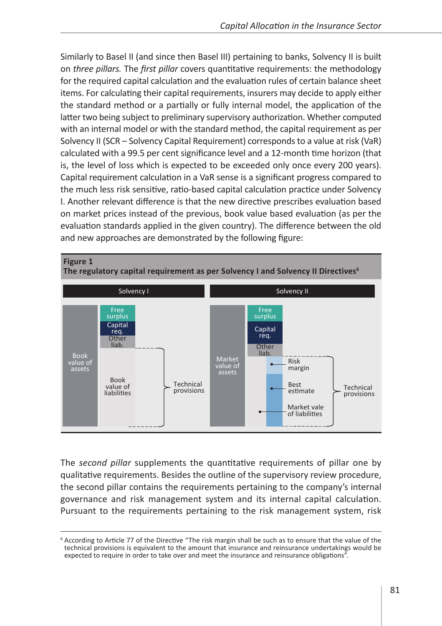Similarly to Basel II (and since then Basel III) pertaining to banks, Solvency II is built on *three pillars.* The *first pillar* covers quantitative requirements: the methodology for the required capital calculation and the evaluation rules of certain balance sheet items. For calculating their capital requirements, insurers may decide to apply either the standard method or a partially or fully internal model, the application of the latter two being subject to preliminary supervisory authorization. Whether computed with an internal model or with the standard method, the capital requirement as per Solvency II (SCR – Solvency Capital Requirement) corresponds to a value at risk (VaR) calculated with a 99.5 per cent significance level and a 12-month time horizon (that is, the level of loss which is expected to be exceeded only once every 200 years). Capital requirement calculation in a VaR sense is a significant progress compared to the much less risk sensitive, ratio-based capital calculation practice under Solvency I. Another relevant difference is that the new directive prescribes evaluation based on market prices instead of the previous, book value based evaluation (as per the evaluation standards applied in the given country). The difference between the old and new approaches are demonstrated by the following figure:



The *second pillar* supplements the quantitative requirements of pillar one by qualitative requirements. Besides the outline of the supervisory review procedure, the second pillar contains the requirements pertaining to the company's internal governance and risk management system and its internal capital calculation. Pursuant to the requirements pertaining to the risk management system, risk

<sup>6</sup> According to Article 77 of the Directive "The risk margin shall be such as to ensure that the value of the technical provisions is equivalent to the amount that insurance and reinsurance undertakings would be expected to require in order to take over and meet the insurance and reinsurance obligations".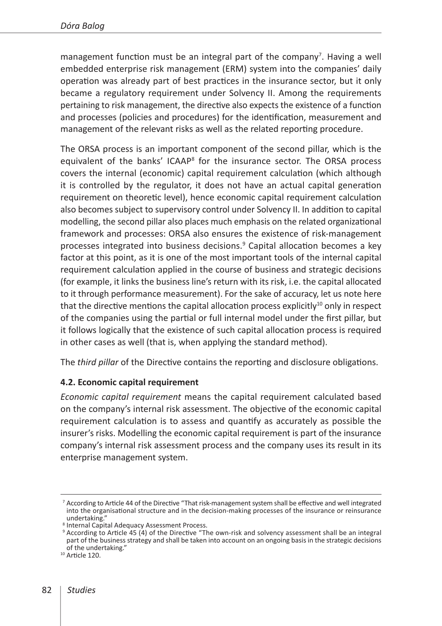management function must be an integral part of the company<sup>7</sup>. Having a well embedded enterprise risk management (ERM) system into the companies' daily operation was already part of best practices in the insurance sector, but it only became a regulatory requirement under Solvency II. Among the requirements pertaining to risk management, the directive also expects the existence of a function and processes (policies and procedures) for the identification, measurement and management of the relevant risks as well as the related reporting procedure.

The ORSA process is an important component of the second pillar, which is the equivalent of the banks' ICAAP<sup>8</sup> for the insurance sector. The ORSA process covers the internal (economic) capital requirement calculation (which although it is controlled by the regulator, it does not have an actual capital generation requirement on theoretic level), hence economic capital requirement calculation also becomes subject to supervisory control under Solvency II. In addition to capital modelling, the second pillar also places much emphasis on the related organizational framework and processes: ORSA also ensures the existence of risk-management processes integrated into business decisions.9 Capital allocation becomes a key factor at this point, as it is one of the most important tools of the internal capital requirement calculation applied in the course of business and strategic decisions (for example, it links the business line's return with its risk, i.e. the capital allocated to it through performance measurement). For the sake of accuracy, let us note here that the directive mentions the capital allocation process explicitly $10$  only in respect of the companies using the partial or full internal model under the first pillar, but it follows logically that the existence of such capital allocation process is required in other cases as well (that is, when applying the standard method).

The *third pillar* of the Directive contains the reporting and disclosure obligations.

#### **4.2. Economic capital requirement**

*Economic capital requirement* means the capital requirement calculated based on the company's internal risk assessment. The objective of the economic capital requirement calculation is to assess and quantify as accurately as possible the insurer's risks. Modelling the economic capital requirement is part of the insurance company's internal risk assessment process and the company uses its result in its enterprise management system.

<sup>7</sup> According to Article 44 of the Directive "That risk-management system shall be effective and well integrated into the organisational structure and in the decision-making processes of the insurance or reinsurance undertaking."

<sup>8</sup> Internal Capital Adequacy Assessment Process.

<sup>9</sup> According to Article 45 (4) of the Directive "The own-risk and solvency assessment shall be an integral part of the business strategy and shall be taken into account on an ongoing basis in the strategic decisions of the undertaking." <sup>10</sup> Article 120.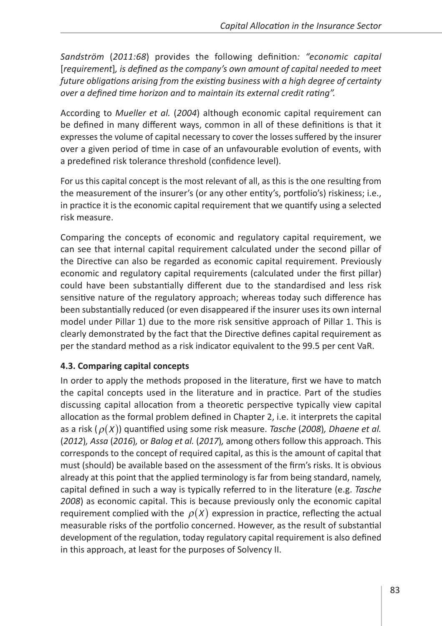*Sandström* (*2011:68*) provides the following definition*: "economic capital*  [*requirement*]*, is defined as the company's own amount of capital needed to meet future obligations arising from the existing business with a high degree of certainty over a defined time horizon and to maintain its external credit rating".*

According to *Mueller et al.* (*2004*) although economic capital requirement can be defined in many different ways, common in all of these definitions is that it expresses the volume of capital necessary to cover the losses suffered by the insurer over a given period of time in case of an unfavourable evolution of events, with a predefined risk tolerance threshold (confidence level).

For us this capital concept is the most relevant of all, as this is the one resulting from the measurement of the insurer's (or any other entity's, portfolio's) riskiness; i.e., in practice it is the economic capital requirement that we quantify using a selected risk measure.

Comparing the concepts of economic and regulatory capital requirement, we can see that internal capital requirement calculated under the second pillar of the Directive can also be regarded as economic capital requirement. Previously economic and regulatory capital requirements (calculated under the first pillar) could have been substantially different due to the standardised and less risk sensitive nature of the regulatory approach; whereas today such difference has been substantially reduced (or even disappeared if the insurer uses its own internal model under Pillar 1) due to the more risk sensitive approach of Pillar 1. This is clearly demonstrated by the fact that the Directive defines capital requirement as per the standard method as a risk indicator equivalent to the 99.5 per cent VaR.

## **4.3. Comparing capital concepts**

In order to apply the methods proposed in the literature, first we have to match the capital concepts used in the literature and in practice. Part of the studies discussing capital allocation from a theoretic perspective typically view capital allocation as the formal problem defined in Chapter 2, i.e. it interprets the capital as a risk (ρ(*X*)) quantified using some risk measure. *Tasche* (*2008*)*, Dhaene et al.*  (*2012*)*, Assa* (*2016*)*,* or *Balog et al.* (*2017*)*,* among others follow this approach. This corresponds to the concept of required capital, as this is the amount of capital that must (should) be available based on the assessment of the firm's risks. It is obvious already at this point that the applied terminology is far from being standard, namely, capital defined in such a way is typically referred to in the literature (e.g. *Tasche 2008*) as economic capital. This is because previously only the economic capital requirement complied with the  $\rho(X)$  expression in practice, reflecting the actual measurable risks of the portfolio concerned. However, as the result of substantial development of the regulation, today regulatory capital requirement is also defined in this approach, at least for the purposes of Solvency II.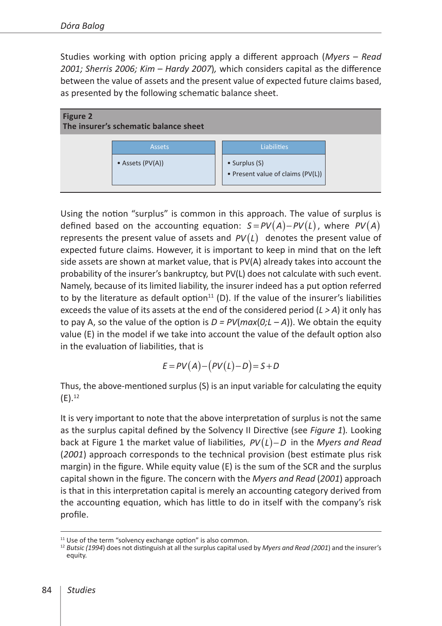Studies working with option pricing apply a different approach (*Myers* – *Read 2001; Sherris 2006; Kim* – *Hardy 2007*)*,* which considers capital as the difference between the value of assets and the present value of expected future claims based, as presented by the following schematic balance sheet.



Using the notion "surplus" is common in this approach. The value of surplus is defined based on the accounting equation:  $S = PV(A) - PV(L)$ , where  $PV(A)$ represents the present value of assets and  $PV(L)$  denotes the present value of expected future claims. However, it is important to keep in mind that on the left side assets are shown at market value, that is PV(A) already takes into account the probability of the insurer's bankruptcy, but PV(L) does not calculate with such event. Namely, because of its limited liability, the insurer indeed has a put option referred to by the literature as default option $11$  (D). If the value of the insurer's liabilities exceeds the value of its assets at the end of the considered period (*L > A*) it only has to pay A, so the value of the option is  $D = PV(max(0;L - A))$ . We obtain the equity value (E) in the model if we take into account the value of the default option also in the evaluation of liabilities, that is

$$
E = PV(A) - (PV(L) - D) = S + D
$$

Thus, the above-mentioned surplus (S) is an input variable for calculating the equity  $(E).^{12}$ 

It is very important to note that the above interpretation of surplus is not the same as the surplus capital defined by the Solvency II Directive (see *Figure 1*)*.* Looking back at Figure 1 the market value of liabilities, *PV*(*L*)−*D* in the *Myers and Read*  (*2001*) approach corresponds to the technical provision (best estimate plus risk margin) in the figure. While equity value (E) is the sum of the SCR and the surplus capital shown in the figure. The concern with the *Myers and Read* (*2001*) approach is that in this interpretation capital is merely an accounting category derived from the accounting equation, which has little to do in itself with the company's risk profile.

<sup>&</sup>lt;sup>11</sup> Use of the term "solvency exchange option" is also common.<br><sup>12</sup> Butsic (1994) does not distinguish at all the surplus capital used by *Myers and Read (2001*) and the insurer's equity.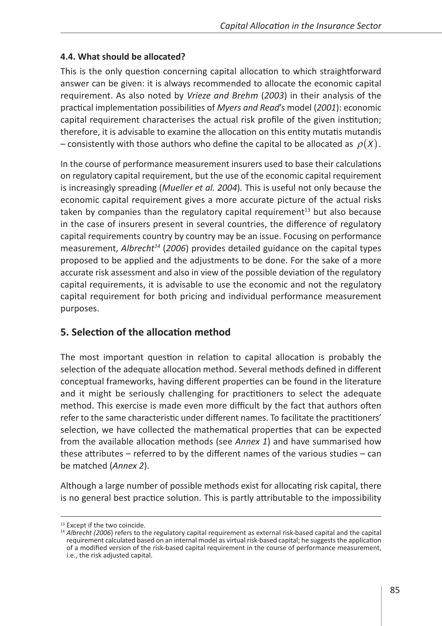#### **4.4. What should be allocated?**

This is the only question concerning capital allocation to which straightforward answer can be given: it is always recommended to allocate the economic capital requirement. As also noted by *Vrieze and Brehm* (*2003*) in their analysis of the practical implementation possibilities of *Myers and Read*'s model (*2001*): economic capital requirement characterises the actual risk profile of the given institution; therefore, it is advisable to examine the allocation on this entity mutatis mutandis – consistently with those authors who define the capital to be allocated as  $\rho(X)$ .

In the course of performance measurement insurers used to base their calculations on regulatory capital requirement, but the use of the economic capital requirement is increasingly spreading (*Mueller et al. 2004*)*.* This is useful not only because the economic capital requirement gives a more accurate picture of the actual risks taken by companies than the regulatory capital requirement $^{13}$  but also because in the case of insurers present in several countries, the difference of regulatory capital requirements country by country may be an issue. Focusing on performance measurement, *Albrecht14* (*2006*) provides detailed guidance on the capital types proposed to be applied and the adjustments to be done. For the sake of a more accurate risk assessment and also in view of the possible deviation of the regulatory capital requirements, it is advisable to use the economic and not the regulatory capital requirement for both pricing and individual performance measurement purposes.

## **5. Selection of the allocation method**

The most important question in relation to capital allocation is probably the selection of the adequate allocation method. Several methods defined in different conceptual frameworks, having different properties can be found in the literature and it might be seriously challenging for practitioners to select the adequate method. This exercise is made even more difficult by the fact that authors often refer to the same characteristic under different names. To facilitate the practitioners' selection, we have collected the mathematical properties that can be expected from the available allocation methods (see *Annex 1*) and have summarised how these attributes – referred to by the different names of the various studies – can be matched (*Annex 2*).

Although a large number of possible methods exist for allocating risk capital, there is no general best practice solution. This is partly attributable to the impossibility

<sup>&</sup>lt;sup>13</sup> Except if the two coincide.<br><sup>14</sup> Albrecht (2006) refers to the regulatory capital requirement as external risk-based capital and the capital requirement calculated based on an internal model as virtual risk-based capital; he suggests the application of a modified version of the risk-based capital requirement in the course of performance measurement, i.e., the risk adjusted capital.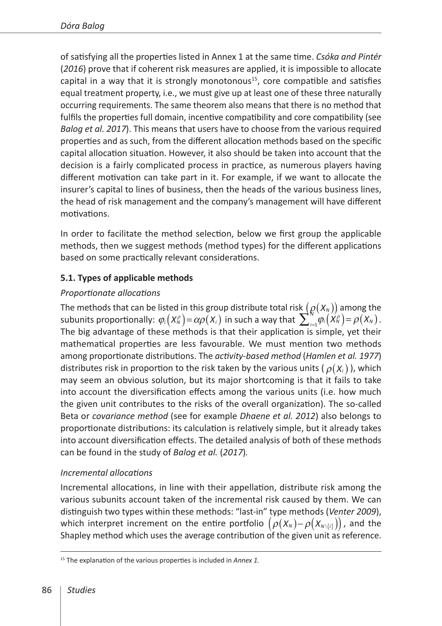of satisfying all the properties listed in Annex 1 at the same time. *Csóka and Pintér*  (*2016*) prove that if coherent risk measures are applied, it is impossible to allocate capital in a way that it is strongly monotonous<sup>15</sup>, core compatible and satisfies equal treatment property, i.e., we must give up at least one of these three naturally occurring requirements. The same theorem also means that there is no method that fulfils the properties full domain, incentive compatibility and core compatibility (see *Balog et al. 2017*). This means that users have to choose from the various required properties and as such, from the different allocation methods based on the specific capital allocation situation. However, it also should be taken into account that the decision is a fairly complicated process in practice, as numerous players having different motivation can take part in it. For example, if we want to allocate the insurer's capital to lines of business, then the heads of the various business lines, the head of risk management and the company's management will have different motivations.

In order to facilitate the method selection, below we first group the applicable methods, then we suggest methods (method types) for the different applications based on some practically relevant considerations.

## **5.1. Types of applicable methods**

## *Proportionate allocations*

The methods that can be listed in this group distribute total risk  $(\varrho(X_{N}))$  among the subunits proportionally:  $\varphi_i(X_N^p) = \alpha \rho(X_i)$  in such a way that  $\sum_{i=1}^N \varphi_i(X_N^p) = \rho(X_N)$ . The big advantage of these methods is that their application is simple, yet their mathematical properties are less favourable. We must mention two methods among proportionate distributions. The *activity-based method* (*Hamlen et al. 1977*) distributes risk in proportion to the risk taken by the various units  $(\rho(X_i))$ , which may seem an obvious solution, but its major shortcoming is that it fails to take into account the diversification effects among the various units (i.e. how much the given unit contributes to the risks of the overall organization). The so-called Beta or *covariance method* (see for example *Dhaene et al. 2012*) also belongs to proportionate distributions: its calculation is relatively simple, but it already takes into account diversification effects. The detailed analysis of both of these methods can be found in the study of *Balog et al.* (*2017*)*.*

## *Incremental allocations*

Incremental allocations, in line with their appellation, distribute risk among the various subunits account taken of the incremental risk caused by them. We can distinguish two types within these methods: "last-in" type methods (*Venter 2009*), which interpret increment on the entire portfolio  $(\rho(X_N) - \rho(X_{N\backslash \{i\}}))$ , and the Shapley method which uses the average contribution of the given unit as reference.

<sup>15</sup> The explanation of the various properties is included in *Annex 1.*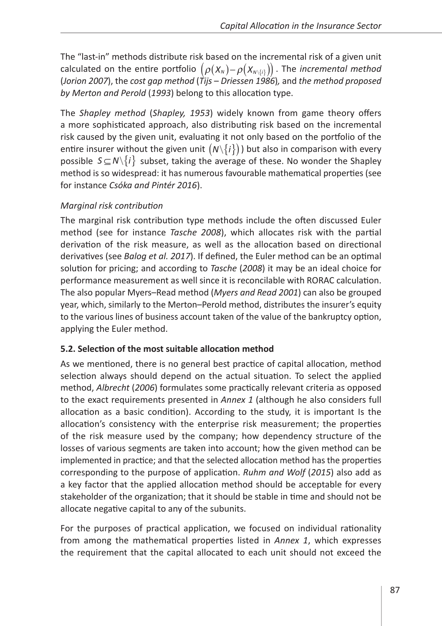The "last-in" methods distribute risk based on the incremental risk of a given unit calculated on the entire portfolio  $(\rho(X_N) - \rho(X_{N\setminus\{i\}}))$ . The *incremental method* (*Jorion 2007*), the *cost gap method* (*Tijs* – *Driessen 1986*)*,* and *the method proposed by Merton and Perold* (*1993*) belong to this allocation type.

The *Shapley method* (*Shapley, 1953*) widely known from game theory offers a more sophisticated approach, also distributing risk based on the incremental risk caused by the given unit, evaluating it not only based on the portfolio of the entire insurer without the given unit  $(N\{i\})$  but also in comparison with every possible  $S \subseteq N \setminus \{i\}$  subset, taking the average of these. No wonder the Shapley method is so widespread: it has numerous favourable mathematical properties (see for instance *Csóka and Pintér 2016*).

## *Marginal risk contribution*

The marginal risk contribution type methods include the often discussed Euler method (see for instance *Tasche 2008*), which allocates risk with the partial derivation of the risk measure, as well as the allocation based on directional derivatives (see *Balog et al. 2017*). If defined, the Euler method can be an optimal solution for pricing; and according to *Tasche* (*2008*) it may be an ideal choice for performance measurement as well since it is reconcilable with RORAC calculation. The also popular Myers–Read method (*Myers and Read 2001*) can also be grouped year, which, similarly to the Merton–Perold method, distributes the insurer's equity to the various lines of business account taken of the value of the bankruptcy option, applying the Euler method.

## **5.2. Selection of the most suitable allocation method**

As we mentioned, there is no general best practice of capital allocation, method selection always should depend on the actual situation. To select the applied method, *Albrecht* (*2006*) formulates some practically relevant criteria as opposed to the exact requirements presented in *Annex 1* (although he also considers full allocation as a basic condition). According to the study, it is important Is the allocation's consistency with the enterprise risk measurement; the properties of the risk measure used by the company; how dependency structure of the losses of various segments are taken into account; how the given method can be implemented in practice; and that the selected allocation method has the properties corresponding to the purpose of application. *Ruhm and Wolf* (*2015*) also add as a key factor that the applied allocation method should be acceptable for every stakeholder of the organization; that it should be stable in time and should not be allocate negative capital to any of the subunits.

For the purposes of practical application, we focused on individual rationality from among the mathematical properties listed in *Annex 1*, which expresses the requirement that the capital allocated to each unit should not exceed the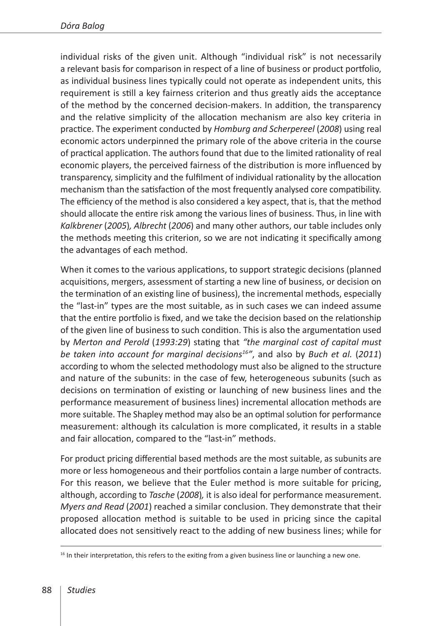individual risks of the given unit. Although "individual risk" is not necessarily a relevant basis for comparison in respect of a line of business or product portfolio, as individual business lines typically could not operate as independent units, this requirement is still a key fairness criterion and thus greatly aids the acceptance of the method by the concerned decision-makers. In addition, the transparency and the relative simplicity of the allocation mechanism are also key criteria in practice. The experiment conducted by *Homburg and Scherpereel* (*2008*) using real economic actors underpinned the primary role of the above criteria in the course of practical application. The authors found that due to the limited rationality of real economic players, the perceived fairness of the distribution is more influenced by transparency, simplicity and the fulfilment of individual rationality by the allocation mechanism than the satisfaction of the most frequently analysed core compatibility. The efficiency of the method is also considered a key aspect, that is, that the method should allocate the entire risk among the various lines of business. Thus, in line with *Kalkbrener* (*2005*)*, Albrecht* (*2006*) and many other authors, our table includes only the methods meeting this criterion, so we are not indicating it specifically among the advantages of each method.

When it comes to the various applications, to support strategic decisions (planned acquisitions, mergers, assessment of starting a new line of business, or decision on the termination of an existing line of business), the incremental methods, especially the "last-in" types are the most suitable, as in such cases we can indeed assume that the entire portfolio is fixed, and we take the decision based on the relationship of the given line of business to such condition. This is also the argumentation used by *Merton and Perold* (*1993:29*) stating that *"the marginal cost of capital must be taken into account for marginal decisions16"*, and also by *Buch et al.* (*2011*) according to whom the selected methodology must also be aligned to the structure and nature of the subunits: in the case of few, heterogeneous subunits (such as decisions on termination of existing or launching of new business lines and the performance measurement of business lines) incremental allocation methods are more suitable. The Shapley method may also be an optimal solution for performance measurement: although its calculation is more complicated, it results in a stable and fair allocation, compared to the "last-in" methods.

For product pricing differential based methods are the most suitable, as subunits are more or less homogeneous and their portfolios contain a large number of contracts. For this reason, we believe that the Euler method is more suitable for pricing, although, according to *Tasche* (*2008*)*,* it is also ideal for performance measurement. *Myers and Read* (*2001*) reached a similar conclusion. They demonstrate that their proposed allocation method is suitable to be used in pricing since the capital allocated does not sensitively react to the adding of new business lines; while for

 $<sup>16</sup>$  In their interpretation, this refers to the exiting from a given business line or launching a new one.</sup>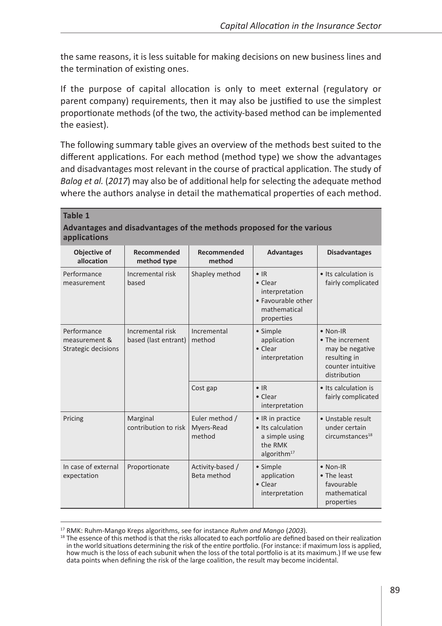the same reasons, it is less suitable for making decisions on new business lines and the termination of existing ones.

If the purpose of capital allocation is only to meet external (regulatory or parent company) requirements, then it may also be justified to use the simplest proportionate methods (of the two, the activity-based method can be implemented the easiest).

The following summary table gives an overview of the methods best suited to the different applications. For each method (method type) we show the advantages and disadvantages most relevant in the course of practical application. The study of *Balog et al.* (*2017*) may also be of additional help for selecting the adequate method where the authors analyse in detail the mathematical properties of each method.

#### **Table 1 Advantages and disadvantages of the methods proposed for the various applications**

| Objective of<br>allocation                          | Recommended<br>method type               | Recommended<br>method                  | <b>Advantages</b>                                                                                     | <b>Disadvantages</b>                                                                                        |
|-----------------------------------------------------|------------------------------------------|----------------------------------------|-------------------------------------------------------------------------------------------------------|-------------------------------------------------------------------------------------------------------------|
| Performance<br>measurement                          | Incremental risk<br>based                | Shapley method                         | $\bullet$ IR<br>$\bullet$ Clear<br>interpretation<br>• Favourable other<br>mathematical<br>properties | • Its calculation is<br>fairly complicated                                                                  |
| Performance<br>measurement &<br>Strategic decisions | Incremental risk<br>based (last entrant) | Incremental<br>method                  | • Simple<br>application<br>• Clear<br>interpretation                                                  | $\bullet$ Non-IR<br>• The increment<br>may be negative<br>resulting in<br>counter intuitive<br>distribution |
|                                                     |                                          | Cost gap                               | $\bullet$ IR<br>• Clear<br>interpretation                                                             | • Its calculation is<br>fairly complicated                                                                  |
| Pricing                                             | Marginal<br>contribution to risk         | Euler method /<br>Myers-Read<br>method | • IR in practice<br>· Its calculation<br>a simple using<br>the RMK<br>algorith $m17$                  | • Unstable result<br>under certain<br>circumstances <sup>18</sup>                                           |
| In case of external<br>expectation                  | Proportionate                            | Activity-based /<br>Beta method        | • Simple<br>application<br>• Clear<br>interpretation                                                  | $\bullet$ Non-IR<br>• The least<br>favourable<br>mathematical<br>properties                                 |

<sup>&</sup>lt;sup>17</sup> RMK: Ruhm-Mango Kreps algorithms, see for instance *Ruhm and Mango* (2003).<br><sup>18</sup> The essence of this method is that the risks allocated to each portfolio are defined based on their realization in the world situations determining the risk of the entire portfolio. (For instance: if maximum loss is applied, how much is the loss of each subunit when the loss of the total portfolio is at its maximum.) If we use few data points when defining the risk of the large coalition, the result may become incidental.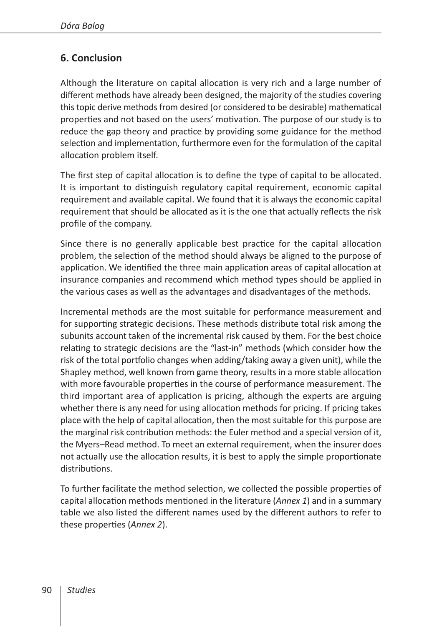# **6. Conclusion**

Although the literature on capital allocation is very rich and a large number of different methods have already been designed, the majority of the studies covering this topic derive methods from desired (or considered to be desirable) mathematical properties and not based on the users' motivation. The purpose of our study is to reduce the gap theory and practice by providing some guidance for the method selection and implementation, furthermore even for the formulation of the capital allocation problem itself.

The first step of capital allocation is to define the type of capital to be allocated. It is important to distinguish regulatory capital requirement, economic capital requirement and available capital. We found that it is always the economic capital requirement that should be allocated as it is the one that actually reflects the risk profile of the company.

Since there is no generally applicable best practice for the capital allocation problem, the selection of the method should always be aligned to the purpose of application. We identified the three main application areas of capital allocation at insurance companies and recommend which method types should be applied in the various cases as well as the advantages and disadvantages of the methods.

Incremental methods are the most suitable for performance measurement and for supporting strategic decisions. These methods distribute total risk among the subunits account taken of the incremental risk caused by them. For the best choice relating to strategic decisions are the "last-in" methods (which consider how the risk of the total portfolio changes when adding/taking away a given unit), while the Shapley method, well known from game theory, results in a more stable allocation with more favourable properties in the course of performance measurement. The third important area of application is pricing, although the experts are arguing whether there is any need for using allocation methods for pricing. If pricing takes place with the help of capital allocation, then the most suitable for this purpose are the marginal risk contribution methods: the Euler method and a special version of it, the Myers–Read method. To meet an external requirement, when the insurer does not actually use the allocation results, it is best to apply the simple proportionate distributions.

To further facilitate the method selection, we collected the possible properties of capital allocation methods mentioned in the literature (*Annex 1*) and in a summary table we also listed the different names used by the different authors to refer to these properties (*Annex 2*).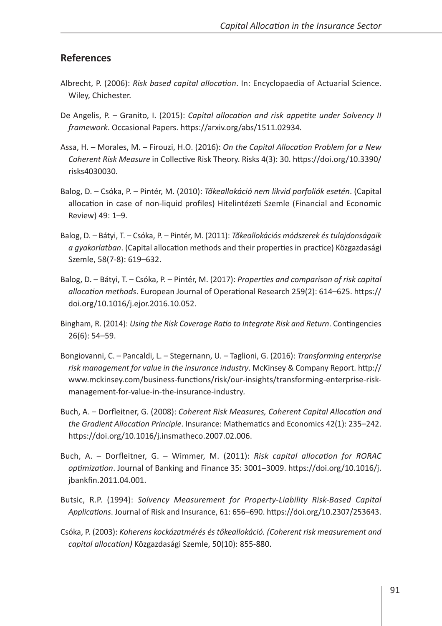#### **References**

- Albrecht, P. (2006): *Risk based capital allocation*. In: Encyclopaedia of Actuarial Science. Wiley, Chichester.
- De Angelis, P. Granito, I. (2015): *Capital allocation and risk appetite under Solvency II framework*. Occasional Papers.<https://arxiv.org/abs/1511.02934>*.*
- Assa, H. Morales, M. Firouzi, H.O. (2016): *On the Capital Allocation Problem for a New Coherent Risk Measure* in Collective Risk Theory. Risks 4(3): 30. [https://doi.org/10.3390/](https://doi.org/10.3390/risks4030030) [risks4030030.](https://doi.org/10.3390/risks4030030)
- Balog, D. Csóka, P. Pintér, M. (2010): *Tőkeallokáció nem likvid porfoliók esetén*. (Capital allocation in case of non-liquid profiles) Hitelintézeti Szemle (Financial and Economic Review) 49: 1–9.
- Balog, D. Bátyi, T. Csóka, P. Pintér, M. (2011): *Tőkeallokációs módszerek és tulajdonságaik a gyakorlatban*. (Capital allocation methods and their properties in practice) Közgazdasági Szemle, 58(7-8): 619–632.
- Balog, D. Bátyi, T. Csóka, P. Pintér, M. (2017): *Properties and comparison of risk capital allocation methods*. European Journal of Operational Research 259(2): 614–625. [https://](https://doi.org/10.1016/j.ejor.2016.10.052) [doi.org/10.1016/j.ejor.2016.10.052](https://doi.org/10.1016/j.ejor.2016.10.052).
- Bingham, R. (2014): *Using the Risk Coverage Ratio to Integrate Risk and Return*. Contingencies 26(6): 54–59.
- Bongiovanni, C. Pancaldi, L. Stegernann, U. Taglioni, G. (2016): *Transforming enterprise risk management for value in the insurance industry*. McKinsey & Company Report. [http://](http://www.mckinsey.com/business-functions/risk/our-insights/transforming-enterprise-risk-management-for-value-in-the-insurance-industry) [www.mckinsey.com/business-functions/risk/our-insights/transforming-enterprise-risk](http://www.mckinsey.com/business-functions/risk/our-insights/transforming-enterprise-risk-management-for-value-in-the-insurance-industry)[management-for-value-in-the-insurance-industry](http://www.mckinsey.com/business-functions/risk/our-insights/transforming-enterprise-risk-management-for-value-in-the-insurance-industry)*.*
- Buch, A. Dorfleitner, G. (2008): *Coherent Risk Measures, Coherent Capital Allocation and the Gradient Allocation Principle*. Insurance: Mathematics and Economics 42(1): 235–242. <https://doi.org/10.1016/j.insmatheco.2007.02.006>.
- Buch, A. Dorfleitner, G. Wimmer, M. (2011): *Risk capital allocation for RORAC optimization*. Journal of Banking and Finance 35: 3001–3009. [https://doi.org/10.1016/j.](https://doi.org/10.1016/j.jbankfin.2011.04.001) [jbankfin.2011.04.001](https://doi.org/10.1016/j.jbankfin.2011.04.001).
- Butsic, R.P. (1994): *Solvency Measurement for Property-Liability Risk-Based Capital Applications*. Journal of Risk and Insurance, 61: 656–690. [https://doi.org/10.2307/253643.](https://doi.org/10.2307/253643)
- Csóka, P. (2003): *Koherens kockázatmérés és tőkeallokáció. (Coherent risk measurement and capital allocation)* Közgazdasági Szemle, 50(10): 855-880.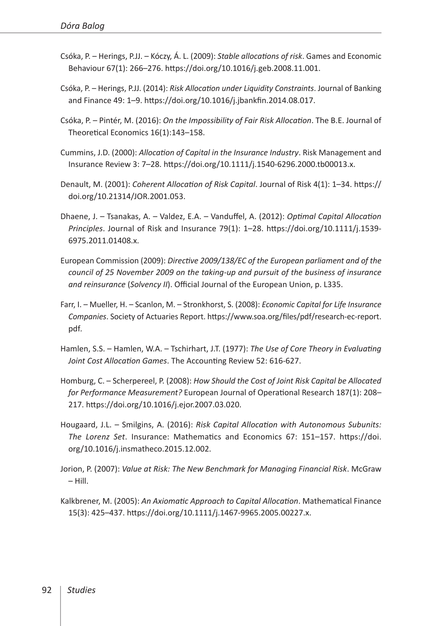- Csóka, P. Herings, P.JJ. Kóczy, Á. L. (2009): *Stable allocations of risk*. Games and Economic Behaviour 67(1): 266–276. <https://doi.org/10.1016/j.geb.2008.11.001>.
- Csóka, P. Herings, P.JJ. (2014): *Risk Allocation under Liquidity Constraints*. Journal of Banking and Finance 49: 1–9. [https://doi.org/10.1016/j.jbankfin.2014.08.017.](https://doi.org/10.1016/j.jbankfin.2014.08.017)
- Csóka, P. Pintér, M. (2016): *On the Impossibility of Fair Risk Allocation*. The B.E. Journal of Theoretical Economics 16(1):143–158.
- Cummins, J.D. (2000): *Allocation of Capital in the Insurance Industry*. Risk Management and Insurance Review 3: 7–28. [https://doi.org/10.1111/j.1540-6296.2000.tb00013.x.](https://doi.org/10.1111/j.1540-6296.2000.tb00013.x)
- Denault, M. (2001): *Coherent Allocation of Risk Capital*. Journal of Risk 4(1): 1–34. [https://](https://doi.org/10.21314/JOR.2001.053) [doi.org/10.21314/JOR.2001.053.](https://doi.org/10.21314/JOR.2001.053)
- Dhaene, J. Tsanakas, A. Valdez, E.A. Vanduffel, A. (2012): *Optimal Capital Allocation Principles*. Journal of Risk and Insurance 79(1): 1–28. [https://doi.org/10.1111/j.1539-](https://doi.org/10.1111/j.1539-6975.2011.01408.x) [6975.2011.01408.x.](https://doi.org/10.1111/j.1539-6975.2011.01408.x)
- European Commission (2009): *Directive 2009/138/EC of the European parliament and of the council of 25 November 2009 on the taking-up and pursuit of the business of insurance and reinsurance* (*Solvency II*). Official Journal of the European Union, p. L335.
- Farr, I. Mueller, H. Scanlon, M. Stronkhorst, S. (2008): *Economic Capital for Life Insurance Companies*. Society of Actuaries Report. [https://www.soa.org/files/pdf/research-ec-report.](https://www.soa.org/files/pdf/research-ec-report.pdf) [pdf](https://www.soa.org/files/pdf/research-ec-report.pdf)*.*
- Hamlen, S.S. Hamlen, W.A. Tschirhart, J.T. (1977): *The Use of Core Theory in Evaluating Joint Cost Allocation Games*. The Accounting Review 52: 616-627.
- Homburg, C. Scherpereel, P. (2008): *How Should the Cost of Joint Risk Capital be Allocated for Performance Measurement?* European Journal of Operational Research 187(1): 208– 217. [https://doi.org/10.1016/j.ejor.2007.03.020.](https://doi.org/10.1016/j.ejor.2007.03.020)
- Hougaard, J.L. Smilgins, A. (2016): *Risk Capital Allocation with Autonomous Subunits: The Lorenz Set*. Insurance: Mathematics and Economics 67: 151–157. [https://doi.](https://doi.org/10.1016/j.insmatheco.2015.12.002) [org/10.1016/j.insmatheco.2015.12.002](https://doi.org/10.1016/j.insmatheco.2015.12.002).
- Jorion, P. (2007): *Value at Risk: The New Benchmark for Managing Financial Risk*. McGraw – Hill.
- Kalkbrener, M. (2005): *An Axiomatic Approach to Capital Allocation*. Mathematical Finance 15(3): 425–437. <https://doi.org/10.1111/j.1467-9965.2005.00227.x>.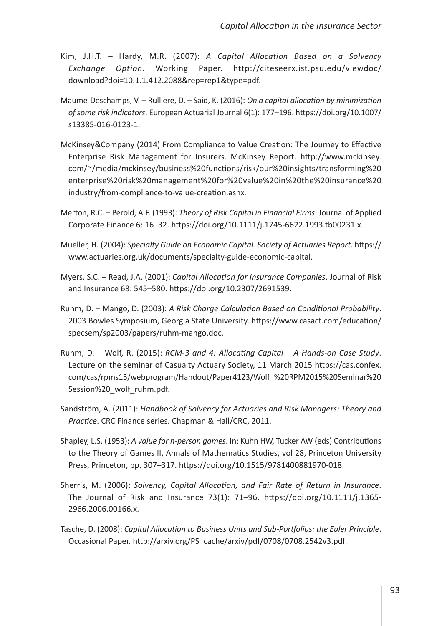- Kim, J.H.T. Hardy, M.R. (2007): *A Capital Allocation Based on a Solvency Exchange Option*. Working Paper. [http://citeseerx.ist.psu.edu/viewdoc/](http://citeseerx.ist.psu.edu/viewdoc/download?doi=10.1.1.412.2088&rep=rep1&type=pdf) [download?doi=10.1.1.412.2088&rep=rep1&type=pdf](http://citeseerx.ist.psu.edu/viewdoc/download?doi=10.1.1.412.2088&rep=rep1&type=pdf)*.*
- Maume-Deschamps, V. Rulliere, D. Said, K. (2016): *On a capital allocation by minimization of some risk indicators*. European Actuarial Journal 6(1): 177–196. [https://doi.org/10.1007/](https://doi.org/10.1007/s13385-016-0123-1) [s13385-016-0123-1.](https://doi.org/10.1007/s13385-016-0123-1)
- McKinsey&Company (2014) From Compliance to Value Creation: The Journey to Effective Enterprise Risk Management for Insurers. McKinsey Report. [http://www.mckinsey.](http://www.mckinsey.com/~/media/mckinsey/business%20functions/risk/our%20insights/transforming%20enterprise%20risk%20management%20for%20value%20in%20the%20insurance%20industry/from-compliance-to-value-creation.ashx) [com/~/media/mckinsey/business%20functions/risk/our%20insights/transforming%20](http://www.mckinsey.com/~/media/mckinsey/business%20functions/risk/our%20insights/transforming%20enterprise%20risk%20management%20for%20value%20in%20the%20insurance%20industry/from-compliance-to-value-creation.ashx) [enterprise%20risk%20management%20for%20value%20in%20the%20insurance%20](http://www.mckinsey.com/~/media/mckinsey/business%20functions/risk/our%20insights/transforming%20enterprise%20risk%20management%20for%20value%20in%20the%20insurance%20industry/from-compliance-to-value-creation.ashx) [industry/from-compliance-to-value-creation.ashx](http://www.mckinsey.com/~/media/mckinsey/business%20functions/risk/our%20insights/transforming%20enterprise%20risk%20management%20for%20value%20in%20the%20insurance%20industry/from-compliance-to-value-creation.ashx)*.*
- Merton, R.C. Perold, A.F. (1993): *Theory of Risk Capital in Financial Firms*. Journal of Applied Corporate Finance 6: 16–32. <https://doi.org/10.1111/j.1745-6622.1993.tb00231.x>.
- Mueller, H. (2004): *Specialty Guide on Economic Capital. Society of Actuaries Report*. [https://](https://www.actuaries.org.uk/documents/specialty-guide-economic-capital) [www.actuaries.org.uk/documents/specialty-guide-economic-capital](https://www.actuaries.org.uk/documents/specialty-guide-economic-capital)*.*
- Myers, S.C. Read, J.A. (2001): *Capital Allocation for Insurance Companies*. Journal of Risk and Insurance 68: 545–580. [https://doi.org/10.2307/2691539.](https://doi.org/10.2307/2691539)
- Ruhm, D. Mango, D. (2003): *A Risk Charge Calculation Based on Conditional Probability*. 2003 Bowles Symposium, Georgia State University. [https://www.casact.com/education/](https://www.casact.com/education/specsem/sp2003/papers/ruhm-mango.doc) [specsem/sp2003/papers/ruhm-mango.doc](https://www.casact.com/education/specsem/sp2003/papers/ruhm-mango.doc)*.*
- Ruhm, D. Wolf, R. (2015): *RCM-3 and 4: Allocating Capital A Hands-on Case Study*. Lecture on the seminar of Casualty Actuary Society, 11 March 2015 [https://cas.confex.](https://cas.confex.com/cas/rpms15/webprogram/Handout/Paper4123/Wolf_ RPM2015 Seminar Session _wolf_ruhm.pdf) [com/cas/rpms15/webprogram/Handout/Paper4123/Wolf\\_%20RPM2015%20Seminar%20](https://cas.confex.com/cas/rpms15/webprogram/Handout/Paper4123/Wolf_ RPM2015 Seminar Session _wolf_ruhm.pdf) [Session%20\\_wolf\\_ruhm.pdf](https://cas.confex.com/cas/rpms15/webprogram/Handout/Paper4123/Wolf_ RPM2015 Seminar Session _wolf_ruhm.pdf)*.*
- Sandström, A. (2011): *Handbook of Solvency for Actuaries and Risk Managers: Theory and Practice*. CRC Finance series. Chapman & Hall/CRC, 2011.
- Shapley, L.S. (1953): *A value for n-person games*. In: Kuhn HW, Tucker AW (eds) Contributions to the Theory of Games II, Annals of Mathematics Studies, vol 28, Princeton University Press, Princeton, pp. 307–317. <https://doi.org/10.1515/9781400881970-018>.
- Sherris, M. (2006): *Solvency, Capital Allocation, and Fair Rate of Return in Insurance*. The Journal of Risk and Insurance 73(1): 71–96. [https://doi.org/10.1111/j.1365-](https://doi.org/10.1111/j.1365-2966.2006.00166.x) [2966.2006.00166.x.](https://doi.org/10.1111/j.1365-2966.2006.00166.x)
- Tasche, D. (2008): *Capital Allocation to Business Units and Sub-Portfolios: the Euler Principle*. Occasional Paper. [http://arxiv.org/PS\\_cache/arxiv/pdf/0708/0708.2542v3.pdf](http://arxiv.org/PS_cache/arxiv/pdf/0708/0708.2542v3.pdf)*.*